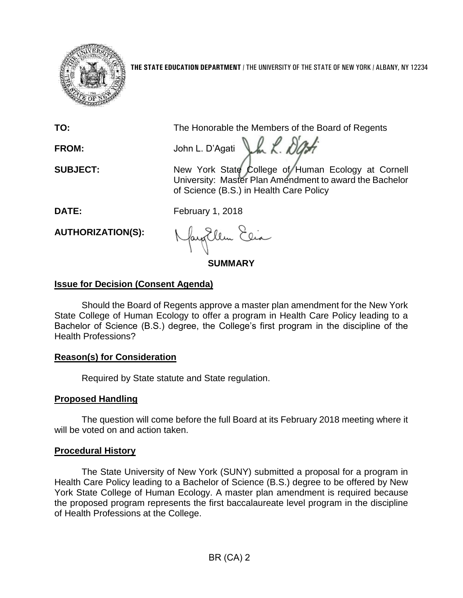

**THE STATE EDUCATION DEPARTMENT** / THE UNIVERSITY OF THE STATE OF NEW YORK / ALBANY, NY 12234

**TO:** The Honorable the Members of the Board of Regents

FROM: John L. D'Agati LA K. DOM:

**SUBJECT:** New York State College of Human Ecology at Cornell University: Master Plan Amendment to award the Bachelor of Science (B.S.) in Health Care Policy

**DATE:** February 1, 2018

**AUTHORIZATION(S):**

**SUMMARY**

# **Issue for Decision (Consent Agenda)**

Should the Board of Regents approve a master plan amendment for the New York State College of Human Ecology to offer a program in Health Care Policy leading to a Bachelor of Science (B.S.) degree, the College's first program in the discipline of the Health Professions?

# **Reason(s) for Consideration**

Required by State statute and State regulation.

# **Proposed Handling**

The question will come before the full Board at its February 2018 meeting where it will be voted on and action taken.

# **Procedural History**

The State University of New York (SUNY) submitted a proposal for a program in Health Care Policy leading to a Bachelor of Science (B.S.) degree to be offered by New York State College of Human Ecology. A master plan amendment is required because the proposed program represents the first baccalaureate level program in the discipline of Health Professions at the College.